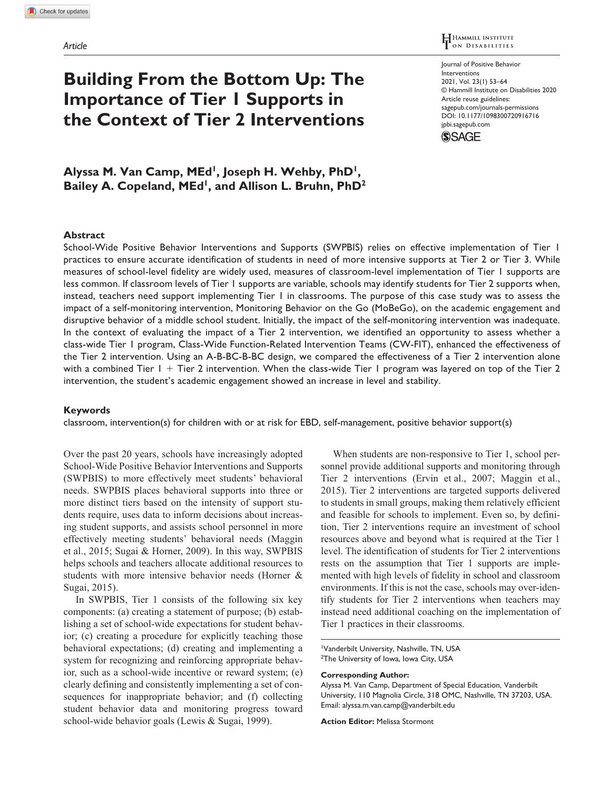# **Building From the Bottom Up: The Importance of Tier 1 Supports in the Context of Tier 2 Interventions**

HAMMILL INSTITUTE

[sagepub.com/journals-permissions](https://us.sagepub.com/en-us/journals-permissions) Journal of Positive Behavior Interventions 2021, Vol. 23(1) 53–64 © Hammill Institute on Disabilities 2020 Article reuse guidelines: DOI: 10.1177/1098300720916716 [jpbi.sagepub.com](https://jpbi.sagepub.com)



Alyssa M. Van Camp, MEd<sup>1</sup>, Joseph H. Wehby, PhD<sup>1</sup>, Bailey A. Copeland, MEd<sup>1</sup>, and Allison L. Bruhn, PhD<sup>2</sup>

#### **Abstract**

School-Wide Positive Behavior Interventions and Supports (SWPBIS) relies on effective implementation of Tier 1 practices to ensure accurate identification of students in need of more intensive supports at Tier 2 or Tier 3. While measures of school-level fidelity are widely used, measures of classroom-level implementation of Tier 1 supports are less common. If classroom levels of Tier 1 supports are variable, schools may identify students for Tier 2 supports when, instead, teachers need support implementing Tier 1 in classrooms. The purpose of this case study was to assess the impact of a self-monitoring intervention, Monitoring Behavior on the Go (MoBeGo), on the academic engagement and disruptive behavior of a middle school student. Initially, the impact of the self-monitoring intervention was inadequate. In the context of evaluating the impact of a Tier 2 intervention, we identified an opportunity to assess whether a class-wide Tier 1 program, Class-Wide Function-Related Intervention Teams (CW-FIT), enhanced the effectiveness of the Tier 2 intervention. Using an A-B-BC-B-BC design, we compared the effectiveness of a Tier 2 intervention alone with a combined Tier  $1 +$  Tier 2 intervention. When the class-wide Tier 1 program was layered on top of the Tier 2 intervention, the student's academic engagement showed an increase in level and stability.

#### **Keywords**

classroom, intervention(s) for children with or at risk for EBD, self-management, positive behavior support(s)

Over the past 20 years, schools have increasingly adopted School-Wide Positive Behavior Interventions and Supports (SWPBIS) to more effectively meet students' behavioral needs. SWPBIS places behavioral supports into three or more distinct tiers based on the intensity of support students require, uses data to inform decisions about increasing student supports, and assists school personnel in more effectively meeting students' behavioral needs (Maggin et al., 2015; Sugai & Horner, 2009). In this way, SWPBIS helps schools and teachers allocate additional resources to students with more intensive behavior needs (Horner & Sugai, 2015).

In SWPBIS, Tier 1 consists of the following six key components: (a) creating a statement of purpose; (b) establishing a set of school-wide expectations for student behavior; (c) creating a procedure for explicitly teaching those behavioral expectations; (d) creating and implementing a system for recognizing and reinforcing appropriate behavior, such as a school-wide incentive or reward system; (e) clearly defining and consistently implementing a set of consequences for inappropriate behavior; and (f) collecting student behavior data and monitoring progress toward school-wide behavior goals (Lewis & Sugai, 1999).

When students are non-responsive to Tier 1, school personnel provide additional supports and monitoring through Tier 2 interventions (Ervin et al., 2007; Maggin et al., 2015). Tier 2 interventions are targeted supports delivered to students in small groups, making them relatively efficient and feasible for schools to implement. Even so, by definition, Tier 2 interventions require an investment of school resources above and beyond what is required at the Tier 1 level. The identification of students for Tier 2 interventions rests on the assumption that Tier 1 supports are implemented with high levels of fidelity in school and classroom environments. If this is not the case, schools may over-identify students for Tier 2 interventions when teachers may instead need additional coaching on the implementation of Tier 1 practices in their classrooms.

1 Vanderbilt University, Nashville, TN, USA <sup>2</sup>The University of Iowa, Iowa City, USA

#### **Corresponding Author:**

Alyssa M. Van Camp, Department of Special Education, Vanderbilt University, 110 Magnolia Circle, 318 OMC, Nashville, TN 37203, USA. Email: [alyssa.m.van.camp@vanderbilt.edu](mailto:alyssa.m.van.camp@vanderbilt.edu)

**Action Editor:** Melissa Stormont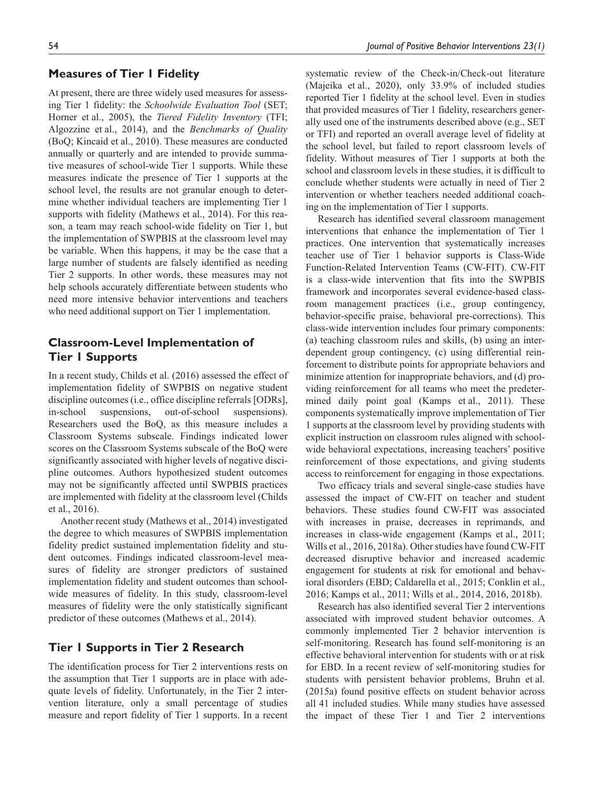## **Measures of Tier 1 Fidelity**

At present, there are three widely used measures for assessing Tier 1 fidelity: the *Schoolwide Evaluation Tool* (SET; Horner et al., 2005), the *Tiered Fidelity Inventory* (TFI; Algozzine et al., 2014), and the *Benchmarks of Quality* (BoQ; Kincaid et al., 2010). These measures are conducted annually or quarterly and are intended to provide summative measures of school-wide Tier 1 supports. While these measures indicate the presence of Tier 1 supports at the school level, the results are not granular enough to determine whether individual teachers are implementing Tier 1 supports with fidelity (Mathews et al., 2014). For this reason, a team may reach school-wide fidelity on Tier 1, but the implementation of SWPBIS at the classroom level may be variable. When this happens, it may be the case that a large number of students are falsely identified as needing Tier 2 supports. In other words, these measures may not help schools accurately differentiate between students who need more intensive behavior interventions and teachers who need additional support on Tier 1 implementation.

# **Classroom-Level Implementation of Tier 1 Supports**

In a recent study, Childs et al. (2016) assessed the effect of implementation fidelity of SWPBIS on negative student discipline outcomes (i.e., office discipline referrals [ODRs], in-school suspensions, out-of-school suspensions). Researchers used the BoQ, as this measure includes a Classroom Systems subscale. Findings indicated lower scores on the Classroom Systems subscale of the BoQ were significantly associated with higher levels of negative discipline outcomes. Authors hypothesized student outcomes may not be significantly affected until SWPBIS practices are implemented with fidelity at the classroom level (Childs et al., 2016).

Another recent study (Mathews et al., 2014) investigated the degree to which measures of SWPBIS implementation fidelity predict sustained implementation fidelity and student outcomes. Findings indicated classroom-level measures of fidelity are stronger predictors of sustained implementation fidelity and student outcomes than schoolwide measures of fidelity. In this study, classroom-level measures of fidelity were the only statistically significant predictor of these outcomes (Mathews et al., 2014).

# **Tier 1 Supports in Tier 2 Research**

The identification process for Tier 2 interventions rests on the assumption that Tier 1 supports are in place with adequate levels of fidelity. Unfortunately, in the Tier 2 intervention literature, only a small percentage of studies measure and report fidelity of Tier 1 supports. In a recent systematic review of the Check-in/Check-out literature (Majeika et al., 2020), only 33.9% of included studies reported Tier 1 fidelity at the school level. Even in studies that provided measures of Tier 1 fidelity, researchers generally used one of the instruments described above (e.g., SET or TFI) and reported an overall average level of fidelity at the school level, but failed to report classroom levels of fidelity. Without measures of Tier 1 supports at both the school and classroom levels in these studies, it is difficult to conclude whether students were actually in need of Tier 2 intervention or whether teachers needed additional coaching on the implementation of Tier 1 supports.

Research has identified several classroom management interventions that enhance the implementation of Tier 1 practices. One intervention that systematically increases teacher use of Tier 1 behavior supports is Class-Wide Function-Related Intervention Teams (CW-FIT). CW-FIT is a class-wide intervention that fits into the SWPBIS framework and incorporates several evidence-based classroom management practices (i.e., group contingency, behavior-specific praise, behavioral pre-corrections). This class-wide intervention includes four primary components: (a) teaching classroom rules and skills, (b) using an interdependent group contingency, (c) using differential reinforcement to distribute points for appropriate behaviors and minimize attention for inappropriate behaviors, and (d) providing reinforcement for all teams who meet the predetermined daily point goal (Kamps et al., 2011). These components systematically improve implementation of Tier 1 supports at the classroom level by providing students with explicit instruction on classroom rules aligned with schoolwide behavioral expectations, increasing teachers' positive reinforcement of those expectations, and giving students access to reinforcement for engaging in those expectations.

Two efficacy trials and several single-case studies have assessed the impact of CW-FIT on teacher and student behaviors. These studies found CW-FIT was associated with increases in praise, decreases in reprimands, and increases in class-wide engagement (Kamps et al., 2011; Wills et al., 2016, 2018a). Other studies have found CW-FIT decreased disruptive behavior and increased academic engagement for students at risk for emotional and behavioral disorders (EBD; Caldarella et al., 2015; Conklin et al., 2016; Kamps et al., 2011; Wills et al., 2014, 2016, 2018b).

Research has also identified several Tier 2 interventions associated with improved student behavior outcomes. A commonly implemented Tier 2 behavior intervention is self-monitoring. Research has found self-monitoring is an effective behavioral intervention for students with or at risk for EBD. In a recent review of self-monitoring studies for students with persistent behavior problems, Bruhn et al. (2015a) found positive effects on student behavior across all 41 included studies. While many studies have assessed the impact of these Tier 1 and Tier 2 interventions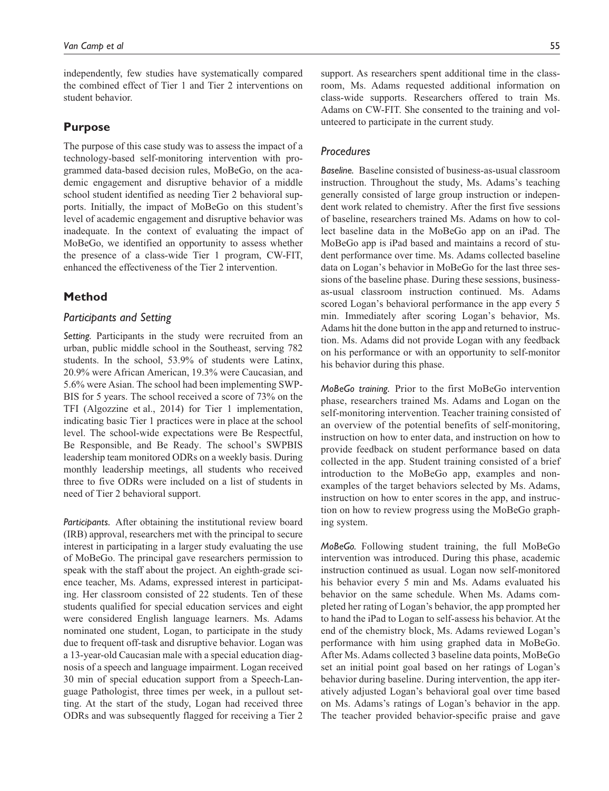independently, few studies have systematically compared the combined effect of Tier 1 and Tier 2 interventions on student behavior.

# **Purpose**

The purpose of this case study was to assess the impact of a technology-based self-monitoring intervention with programmed data-based decision rules, MoBeGo, on the academic engagement and disruptive behavior of a middle school student identified as needing Tier 2 behavioral supports. Initially, the impact of MoBeGo on this student's level of academic engagement and disruptive behavior was inadequate. In the context of evaluating the impact of MoBeGo, we identified an opportunity to assess whether the presence of a class-wide Tier 1 program, CW-FIT, enhanced the effectiveness of the Tier 2 intervention.

# **Method**

## *Participants and Setting*

*Setting.* Participants in the study were recruited from an urban, public middle school in the Southeast, serving 782 students. In the school, 53.9% of students were Latinx, 20.9% were African American, 19.3% were Caucasian, and 5.6% were Asian. The school had been implementing SWP-BIS for 5 years. The school received a score of 73% on the TFI (Algozzine et al., 2014) for Tier 1 implementation, indicating basic Tier 1 practices were in place at the school level. The school-wide expectations were Be Respectful, Be Responsible, and Be Ready. The school's SWPBIS leadership team monitored ODRs on a weekly basis. During monthly leadership meetings, all students who received three to five ODRs were included on a list of students in need of Tier 2 behavioral support.

*Participants.* After obtaining the institutional review board (IRB) approval, researchers met with the principal to secure interest in participating in a larger study evaluating the use of MoBeGo. The principal gave researchers permission to speak with the staff about the project. An eighth-grade science teacher, Ms. Adams, expressed interest in participating. Her classroom consisted of 22 students. Ten of these students qualified for special education services and eight were considered English language learners. Ms. Adams nominated one student, Logan, to participate in the study due to frequent off-task and disruptive behavior. Logan was a 13-year-old Caucasian male with a special education diagnosis of a speech and language impairment. Logan received 30 min of special education support from a Speech-Language Pathologist, three times per week, in a pullout setting. At the start of the study, Logan had received three ODRs and was subsequently flagged for receiving a Tier 2

support. As researchers spent additional time in the classroom, Ms. Adams requested additional information on class-wide supports. Researchers offered to train Ms. Adams on CW-FIT. She consented to the training and volunteered to participate in the current study.

## *Procedures*

*Baseline.* Baseline consisted of business-as-usual classroom instruction. Throughout the study, Ms. Adams's teaching generally consisted of large group instruction or independent work related to chemistry. After the first five sessions of baseline, researchers trained Ms. Adams on how to collect baseline data in the MoBeGo app on an iPad. The MoBeGo app is iPad based and maintains a record of student performance over time. Ms. Adams collected baseline data on Logan's behavior in MoBeGo for the last three sessions of the baseline phase. During these sessions, businessas-usual classroom instruction continued. Ms. Adams scored Logan's behavioral performance in the app every 5 min. Immediately after scoring Logan's behavior, Ms. Adams hit the done button in the app and returned to instruction. Ms. Adams did not provide Logan with any feedback on his performance or with an opportunity to self-monitor his behavior during this phase.

*MoBeGo training.* Prior to the first MoBeGo intervention phase, researchers trained Ms. Adams and Logan on the self-monitoring intervention. Teacher training consisted of an overview of the potential benefits of self-monitoring, instruction on how to enter data, and instruction on how to provide feedback on student performance based on data collected in the app. Student training consisted of a brief introduction to the MoBeGo app, examples and nonexamples of the target behaviors selected by Ms. Adams, instruction on how to enter scores in the app, and instruction on how to review progress using the MoBeGo graphing system.

*MoBeGo.* Following student training, the full MoBeGo intervention was introduced. During this phase, academic instruction continued as usual. Logan now self-monitored his behavior every 5 min and Ms. Adams evaluated his behavior on the same schedule. When Ms. Adams completed her rating of Logan's behavior, the app prompted her to hand the iPad to Logan to self-assess his behavior. At the end of the chemistry block, Ms. Adams reviewed Logan's performance with him using graphed data in MoBeGo. After Ms. Adams collected 3 baseline data points, MoBeGo set an initial point goal based on her ratings of Logan's behavior during baseline. During intervention, the app iteratively adjusted Logan's behavioral goal over time based on Ms. Adams's ratings of Logan's behavior in the app. The teacher provided behavior-specific praise and gave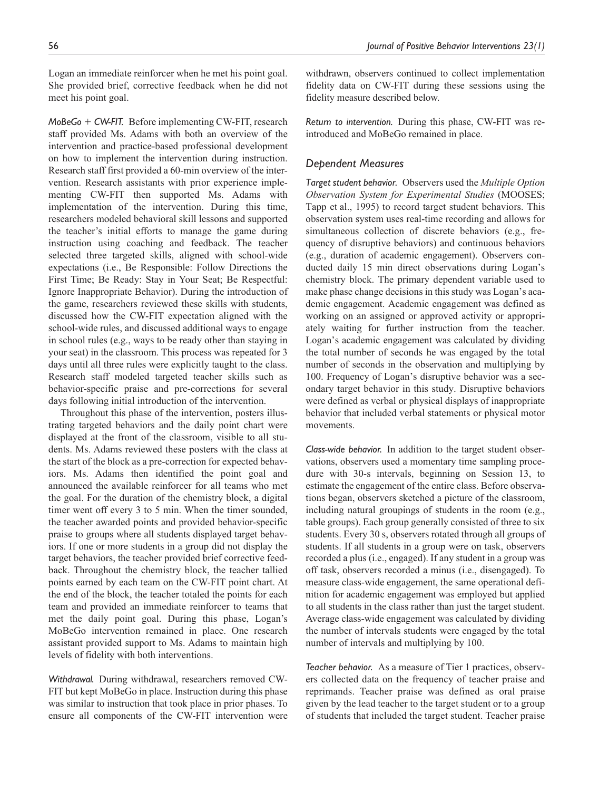Logan an immediate reinforcer when he met his point goal. She provided brief, corrective feedback when he did not meet his point goal.

*MoBeGo* + *CW-FIT.* Before implementing CW-FIT, research staff provided Ms. Adams with both an overview of the intervention and practice-based professional development on how to implement the intervention during instruction. Research staff first provided a 60-min overview of the intervention. Research assistants with prior experience implementing CW-FIT then supported Ms. Adams with implementation of the intervention. During this time, researchers modeled behavioral skill lessons and supported the teacher's initial efforts to manage the game during instruction using coaching and feedback. The teacher selected three targeted skills, aligned with school-wide expectations (i.e., Be Responsible: Follow Directions the First Time; Be Ready: Stay in Your Seat; Be Respectful: Ignore Inappropriate Behavior). During the introduction of the game, researchers reviewed these skills with students, discussed how the CW-FIT expectation aligned with the school-wide rules, and discussed additional ways to engage in school rules (e.g., ways to be ready other than staying in your seat) in the classroom. This process was repeated for 3 days until all three rules were explicitly taught to the class. Research staff modeled targeted teacher skills such as behavior-specific praise and pre-corrections for several days following initial introduction of the intervention.

Throughout this phase of the intervention, posters illustrating targeted behaviors and the daily point chart were displayed at the front of the classroom, visible to all students. Ms. Adams reviewed these posters with the class at the start of the block as a pre-correction for expected behaviors. Ms. Adams then identified the point goal and announced the available reinforcer for all teams who met the goal. For the duration of the chemistry block, a digital timer went off every 3 to 5 min. When the timer sounded, the teacher awarded points and provided behavior-specific praise to groups where all students displayed target behaviors. If one or more students in a group did not display the target behaviors, the teacher provided brief corrective feedback. Throughout the chemistry block, the teacher tallied points earned by each team on the CW-FIT point chart. At the end of the block, the teacher totaled the points for each team and provided an immediate reinforcer to teams that met the daily point goal. During this phase, Logan's MoBeGo intervention remained in place. One research assistant provided support to Ms. Adams to maintain high levels of fidelity with both interventions.

*Withdrawal.* During withdrawal, researchers removed CW-FIT but kept MoBeGo in place. Instruction during this phase was similar to instruction that took place in prior phases. To ensure all components of the CW-FIT intervention were withdrawn, observers continued to collect implementation fidelity data on CW-FIT during these sessions using the fidelity measure described below.

*Return to intervention.* During this phase, CW-FIT was reintroduced and MoBeGo remained in place.

# *Dependent Measures*

*Target student behavior.* Observers used the *Multiple Option Observation System for Experimental Studies* (MOOSES; Tapp et al., 1995) to record target student behaviors. This observation system uses real-time recording and allows for simultaneous collection of discrete behaviors (e.g., frequency of disruptive behaviors) and continuous behaviors (e.g., duration of academic engagement). Observers conducted daily 15 min direct observations during Logan's chemistry block. The primary dependent variable used to make phase change decisions in this study was Logan's academic engagement. Academic engagement was defined as working on an assigned or approved activity or appropriately waiting for further instruction from the teacher. Logan's academic engagement was calculated by dividing the total number of seconds he was engaged by the total number of seconds in the observation and multiplying by 100. Frequency of Logan's disruptive behavior was a secondary target behavior in this study. Disruptive behaviors were defined as verbal or physical displays of inappropriate behavior that included verbal statements or physical motor movements.

*Class-wide behavior.* In addition to the target student observations, observers used a momentary time sampling procedure with 30-s intervals, beginning on Session 13, to estimate the engagement of the entire class. Before observations began, observers sketched a picture of the classroom, including natural groupings of students in the room (e.g., table groups). Each group generally consisted of three to six students. Every 30 s, observers rotated through all groups of students. If all students in a group were on task, observers recorded a plus (i.e., engaged). If any student in a group was off task, observers recorded a minus (i.e., disengaged). To measure class-wide engagement, the same operational definition for academic engagement was employed but applied to all students in the class rather than just the target student. Average class-wide engagement was calculated by dividing the number of intervals students were engaged by the total number of intervals and multiplying by 100.

*Teacher behavior.* As a measure of Tier 1 practices, observers collected data on the frequency of teacher praise and reprimands. Teacher praise was defined as oral praise given by the lead teacher to the target student or to a group of students that included the target student. Teacher praise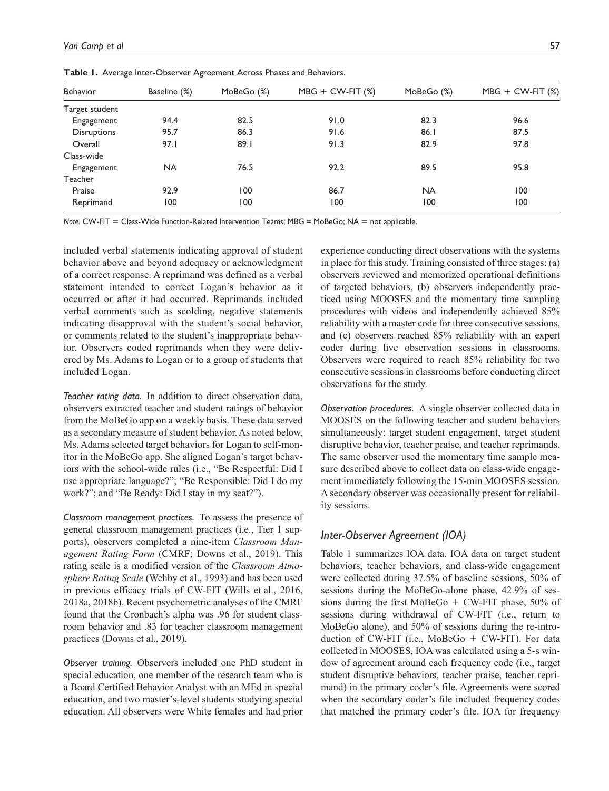| Behavior           | Baseline (%) | MoBeGo (%) | $MBG + CW-FIT$ (%) | Mo $BeGo(%)$ | $MBG + CW-FIT$ (%) |
|--------------------|--------------|------------|--------------------|--------------|--------------------|
| Target student     |              |            |                    |              |                    |
| Engagement         | 94.4         | 82.5       | 91.0               | 82.3         | 96.6               |
| <b>Disruptions</b> | 95.7         | 86.3       | 91.6               | 86.1         | 87.5               |
| Overall            | 97.1         | 89.1       | 91.3               | 82.9         | 97.8               |
| Class-wide         |              |            |                    |              |                    |
| Engagement         | <b>NA</b>    | 76.5       | 92.2               | 89.5         | 95.8               |
| Teacher            |              |            |                    |              |                    |
| Praise             | 92.9         | 100        | 86.7               | <b>NA</b>    | 100                |
| Reprimand          | 100          | 100        | 100                | 100          | 100                |

Table 1. Average Inter-Observer Agreement Across Phases and Behaviors.

*Note.* CW-FIT = Class-Wide Function-Related Intervention Teams; MBG = MoBeGo; NA = not applicable.

included verbal statements indicating approval of student behavior above and beyond adequacy or acknowledgment of a correct response. A reprimand was defined as a verbal statement intended to correct Logan's behavior as it occurred or after it had occurred. Reprimands included verbal comments such as scolding, negative statements indicating disapproval with the student's social behavior, or comments related to the student's inappropriate behavior. Observers coded reprimands when they were delivered by Ms. Adams to Logan or to a group of students that included Logan.

*Teacher rating data.* In addition to direct observation data, observers extracted teacher and student ratings of behavior from the MoBeGo app on a weekly basis. These data served as a secondary measure of student behavior. As noted below, Ms. Adams selected target behaviors for Logan to self-monitor in the MoBeGo app. She aligned Logan's target behaviors with the school-wide rules (i.e., "Be Respectful: Did I use appropriate language?"; "Be Responsible: Did I do my work?"; and "Be Ready: Did I stay in my seat?").

*Classroom management practices.* To assess the presence of general classroom management practices (i.e., Tier 1 supports), observers completed a nine-item *Classroom Management Rating Form* (CMRF; Downs et al., 2019). This rating scale is a modified version of the *Classroom Atmosphere Rating Scale* (Wehby et al., 1993) and has been used in previous efficacy trials of CW-FIT (Wills et al., 2016, 2018a, 2018b). Recent psychometric analyses of the CMRF found that the Cronbach's alpha was .96 for student classroom behavior and .83 for teacher classroom management practices (Downs et al., 2019).

*Observer training.* Observers included one PhD student in special education, one member of the research team who is a Board Certified Behavior Analyst with an MEd in special education, and two master's-level students studying special education. All observers were White females and had prior experience conducting direct observations with the systems in place for this study. Training consisted of three stages: (a) observers reviewed and memorized operational definitions of targeted behaviors, (b) observers independently practiced using MOOSES and the momentary time sampling procedures with videos and independently achieved 85% reliability with a master code for three consecutive sessions, and (c) observers reached 85% reliability with an expert coder during live observation sessions in classrooms. Observers were required to reach 85% reliability for two consecutive sessions in classrooms before conducting direct observations for the study.

*Observation procedures.* A single observer collected data in MOOSES on the following teacher and student behaviors simultaneously: target student engagement, target student disruptive behavior, teacher praise, and teacher reprimands. The same observer used the momentary time sample measure described above to collect data on class-wide engagement immediately following the 15-min MOOSES session. A secondary observer was occasionally present for reliability sessions.

# *Inter-Observer Agreement (IOA)*

Table 1 summarizes IOA data. IOA data on target student behaviors, teacher behaviors, and class-wide engagement were collected during 37.5% of baseline sessions, 50% of sessions during the MoBeGo-alone phase, 42.9% of sessions during the first MoBeGo  $+$  CW-FIT phase, 50% of sessions during withdrawal of CW-FIT (i.e., return to MoBeGo alone), and 50% of sessions during the re-introduction of CW-FIT (i.e., MoBeGo + CW-FIT). For data collected in MOOSES, IOA was calculated using a 5-s window of agreement around each frequency code (i.e., target student disruptive behaviors, teacher praise, teacher reprimand) in the primary coder's file. Agreements were scored when the secondary coder's file included frequency codes that matched the primary coder's file. IOA for frequency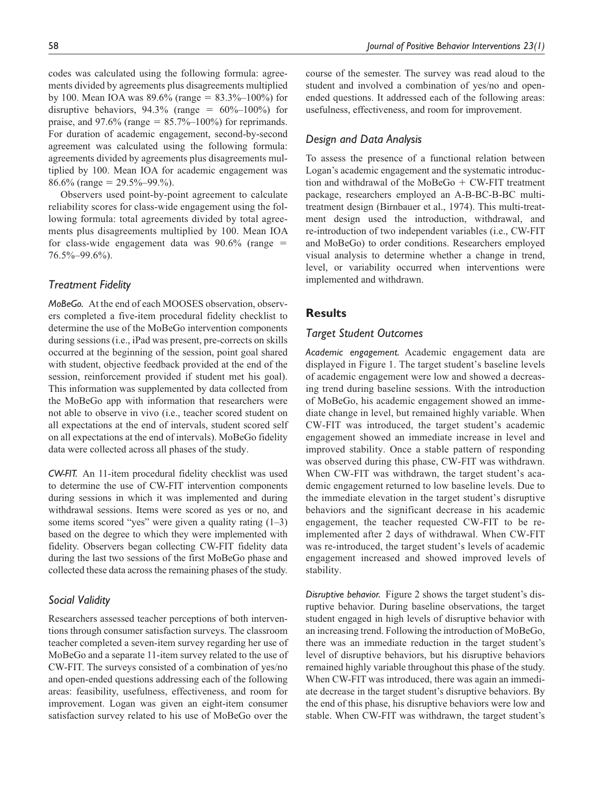codes was calculated using the following formula: agreements divided by agreements plus disagreements multiplied by 100. Mean IOA was  $89.6\%$  (range =  $83.3\%$ -100%) for disruptive behaviors,  $94.3\%$  (range =  $60\%$ -100%) for praise, and 97.6% (range  $= 85.7\% - 100\%$ ) for reprimands. For duration of academic engagement, second-by-second agreement was calculated using the following formula: agreements divided by agreements plus disagreements multiplied by 100. Mean IOA for academic engagement was 86.6% (range =  $29.5\% - 99.$ %).

Observers used point-by-point agreement to calculate reliability scores for class-wide engagement using the following formula: total agreements divided by total agreements plus disagreements multiplied by 100. Mean IOA for class-wide engagement data was  $90.6\%$  (range = 76.5%–99.6%).

# *Treatment Fidelity*

*MoBeGo.* At the end of each MOOSES observation, observers completed a five-item procedural fidelity checklist to determine the use of the MoBeGo intervention components during sessions (i.e., iPad was present, pre-corrects on skills occurred at the beginning of the session, point goal shared with student, objective feedback provided at the end of the session, reinforcement provided if student met his goal). This information was supplemented by data collected from the MoBeGo app with information that researchers were not able to observe in vivo (i.e., teacher scored student on all expectations at the end of intervals, student scored self on all expectations at the end of intervals). MoBeGo fidelity data were collected across all phases of the study.

*CW-FIT.* An 11-item procedural fidelity checklist was used to determine the use of CW-FIT intervention components during sessions in which it was implemented and during withdrawal sessions. Items were scored as yes or no, and some items scored "yes" were given a quality rating  $(1-3)$ based on the degree to which they were implemented with fidelity. Observers began collecting CW-FIT fidelity data during the last two sessions of the first MoBeGo phase and collected these data across the remaining phases of the study.

## *Social Validity*

Researchers assessed teacher perceptions of both interventions through consumer satisfaction surveys. The classroom teacher completed a seven-item survey regarding her use of MoBeGo and a separate 11-item survey related to the use of CW-FIT. The surveys consisted of a combination of yes/no and open-ended questions addressing each of the following areas: feasibility, usefulness, effectiveness, and room for improvement. Logan was given an eight-item consumer satisfaction survey related to his use of MoBeGo over the

course of the semester. The survey was read aloud to the student and involved a combination of yes/no and openended questions. It addressed each of the following areas: usefulness, effectiveness, and room for improvement.

## *Design and Data Analysis*

To assess the presence of a functional relation between Logan's academic engagement and the systematic introduction and withdrawal of the MoBeGo + CW-FIT treatment package, researchers employed an A-B-BC-B-BC multitreatment design (Birnbauer et al., 1974). This multi-treatment design used the introduction, withdrawal, and re-introduction of two independent variables (i.e., CW-FIT and MoBeGo) to order conditions. Researchers employed visual analysis to determine whether a change in trend, level, or variability occurred when interventions were implemented and withdrawn.

## **Results**

### *Target Student Outcomes*

*Academic engagement.* Academic engagement data are displayed in Figure 1. The target student's baseline levels of academic engagement were low and showed a decreasing trend during baseline sessions. With the introduction of MoBeGo, his academic engagement showed an immediate change in level, but remained highly variable. When CW-FIT was introduced, the target student's academic engagement showed an immediate increase in level and improved stability. Once a stable pattern of responding was observed during this phase, CW-FIT was withdrawn. When CW-FIT was withdrawn, the target student's academic engagement returned to low baseline levels. Due to the immediate elevation in the target student's disruptive behaviors and the significant decrease in his academic engagement, the teacher requested CW-FIT to be reimplemented after 2 days of withdrawal. When CW-FIT was re-introduced, the target student's levels of academic engagement increased and showed improved levels of stability.

*Disruptive behavior.* Figure 2 shows the target student's disruptive behavior. During baseline observations, the target student engaged in high levels of disruptive behavior with an increasing trend. Following the introduction of MoBeGo, there was an immediate reduction in the target student's level of disruptive behaviors, but his disruptive behaviors remained highly variable throughout this phase of the study. When CW-FIT was introduced, there was again an immediate decrease in the target student's disruptive behaviors. By the end of this phase, his disruptive behaviors were low and stable. When CW-FIT was withdrawn, the target student's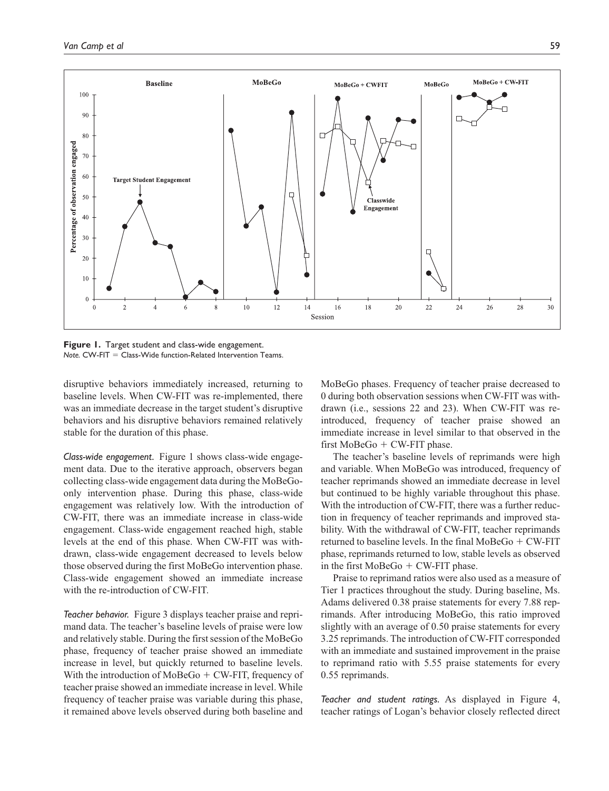

**Figure 1.** Target student and class-wide engagement. *Note.* CW-FIT = Class-Wide function-Related Intervention Teams.

disruptive behaviors immediately increased, returning to baseline levels. When CW-FIT was re-implemented, there was an immediate decrease in the target student's disruptive behaviors and his disruptive behaviors remained relatively stable for the duration of this phase.

*Class-wide engagement.* Figure 1 shows class-wide engagement data. Due to the iterative approach, observers began collecting class-wide engagement data during the MoBeGoonly intervention phase. During this phase, class-wide engagement was relatively low. With the introduction of CW-FIT, there was an immediate increase in class-wide engagement. Class-wide engagement reached high, stable levels at the end of this phase. When CW-FIT was withdrawn, class-wide engagement decreased to levels below those observed during the first MoBeGo intervention phase. Class-wide engagement showed an immediate increase with the re-introduction of CW-FIT.

*Teacher behavior.* Figure 3 displays teacher praise and reprimand data. The teacher's baseline levels of praise were low and relatively stable. During the first session of the MoBeGo phase, frequency of teacher praise showed an immediate increase in level, but quickly returned to baseline levels. With the introduction of  $MoBeGo + CW$ -FIT, frequency of teacher praise showed an immediate increase in level. While frequency of teacher praise was variable during this phase, it remained above levels observed during both baseline and MoBeGo phases. Frequency of teacher praise decreased to 0 during both observation sessions when CW-FIT was withdrawn (i.e., sessions 22 and 23). When CW-FIT was reintroduced, frequency of teacher praise showed an immediate increase in level similar to that observed in the first MoBeGo  $+$  CW-FIT phase.

The teacher's baseline levels of reprimands were high and variable. When MoBeGo was introduced, frequency of teacher reprimands showed an immediate decrease in level but continued to be highly variable throughout this phase. With the introduction of CW-FIT, there was a further reduction in frequency of teacher reprimands and improved stability. With the withdrawal of CW-FIT, teacher reprimands returned to baseline levels. In the final MoBeGo + CW-FIT phase, reprimands returned to low, stable levels as observed in the first  $MoBeGo + CW-FIT$  phase.

Praise to reprimand ratios were also used as a measure of Tier 1 practices throughout the study. During baseline, Ms. Adams delivered 0.38 praise statements for every 7.88 reprimands. After introducing MoBeGo, this ratio improved slightly with an average of 0.50 praise statements for every 3.25 reprimands. The introduction of CW-FIT corresponded with an immediate and sustained improvement in the praise to reprimand ratio with 5.55 praise statements for every 0.55 reprimands.

*Teacher and student ratings.* As displayed in Figure 4, teacher ratings of Logan's behavior closely reflected direct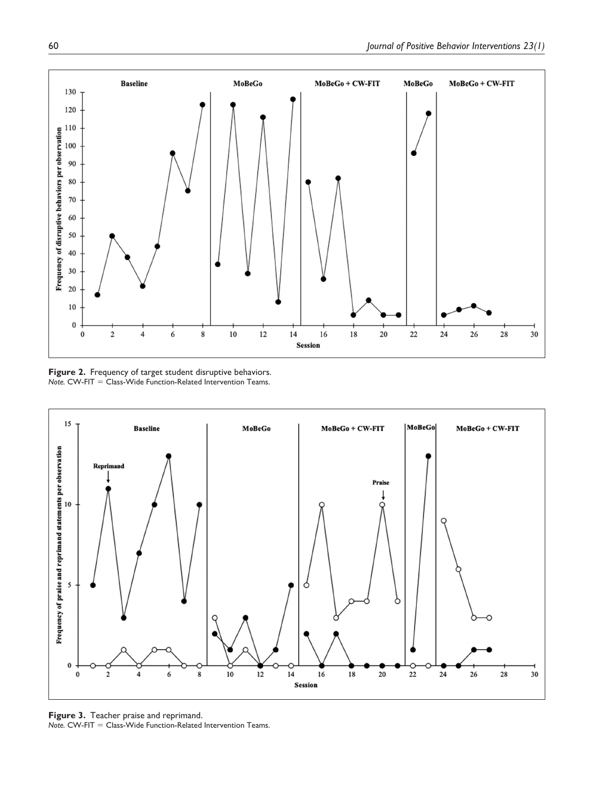

**Figure 2.** Frequency of target student disruptive behaviors. *Note.* CW-FIT = Class-Wide Function-Related Intervention Teams.



**Figure 3.** Teacher praise and reprimand. *Note.* CW-FIT = Class-Wide Function-Related Intervention Teams.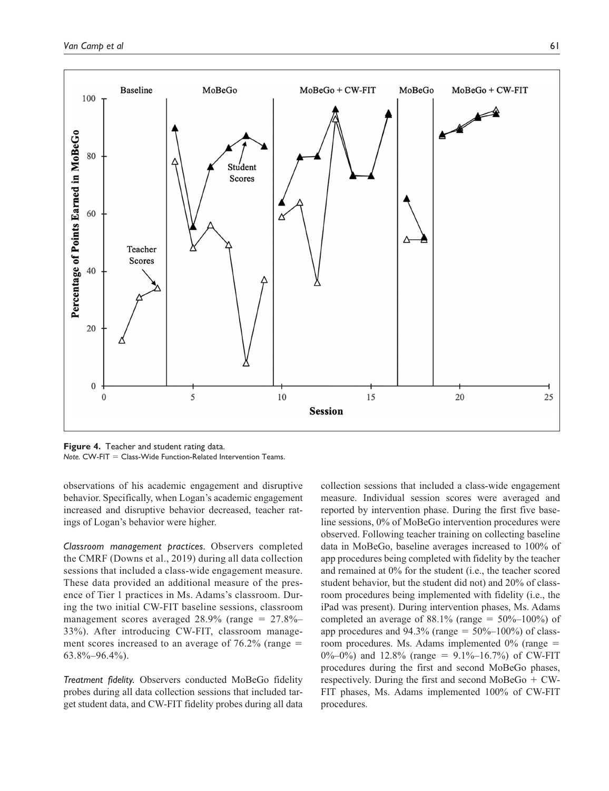

**Figure 4.** Teacher and student rating data. *Note.* CW-FIT = Class-Wide Function-Related Intervention Teams.

observations of his academic engagement and disruptive behavior. Specifically, when Logan's academic engagement increased and disruptive behavior decreased, teacher ratings of Logan's behavior were higher.

*Classroom management practices.* Observers completed the CMRF (Downs et al., 2019) during all data collection sessions that included a class-wide engagement measure. These data provided an additional measure of the presence of Tier 1 practices in Ms. Adams's classroom. During the two initial CW-FIT baseline sessions, classroom management scores averaged 28.9% (range = 27.8%– 33%). After introducing CW-FIT, classroom management scores increased to an average of  $76.2\%$  (range =  $63.8\% - 96.4\%$ ).

*Treatment fidelity.* Observers conducted MoBeGo fidelity probes during all data collection sessions that included target student data, and CW-FIT fidelity probes during all data collection sessions that included a class-wide engagement measure. Individual session scores were averaged and reported by intervention phase. During the first five baseline sessions, 0% of MoBeGo intervention procedures were observed. Following teacher training on collecting baseline data in MoBeGo, baseline averages increased to 100% of app procedures being completed with fidelity by the teacher and remained at 0% for the student (i.e., the teacher scored student behavior, but the student did not) and 20% of classroom procedures being implemented with fidelity (i.e., the iPad was present). During intervention phases, Ms. Adams completed an average of  $88.1\%$  (range =  $50\%$ - $100\%$ ) of app procedures and  $94.3\%$  (range =  $50\%$ – $100\%$ ) of classroom procedures. Ms. Adams implemented 0% (range =  $0\%$ – $0\%$ ) and 12.8% (range = 9.1%–16.7%) of CW-FIT procedures during the first and second MoBeGo phases, respectively. During the first and second MoBeGo + CW-FIT phases, Ms. Adams implemented 100% of CW-FIT procedures.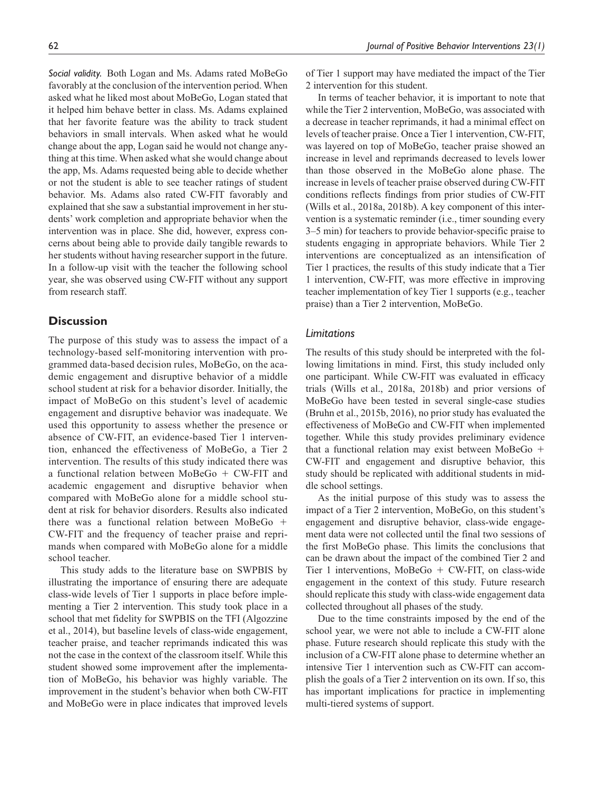*Social validity.* Both Logan and Ms. Adams rated MoBeGo favorably at the conclusion of the intervention period. When asked what he liked most about MoBeGo, Logan stated that it helped him behave better in class. Ms. Adams explained that her favorite feature was the ability to track student behaviors in small intervals. When asked what he would change about the app, Logan said he would not change anything at this time. When asked what she would change about the app, Ms. Adams requested being able to decide whether or not the student is able to see teacher ratings of student behavior. Ms. Adams also rated CW-FIT favorably and explained that she saw a substantial improvement in her students' work completion and appropriate behavior when the intervention was in place. She did, however, express concerns about being able to provide daily tangible rewards to her students without having researcher support in the future. In a follow-up visit with the teacher the following school year, she was observed using CW-FIT without any support from research staff.

# **Discussion**

The purpose of this study was to assess the impact of a technology-based self-monitoring intervention with programmed data-based decision rules, MoBeGo, on the academic engagement and disruptive behavior of a middle school student at risk for a behavior disorder. Initially, the impact of MoBeGo on this student's level of academic engagement and disruptive behavior was inadequate. We used this opportunity to assess whether the presence or absence of CW-FIT, an evidence-based Tier 1 intervention, enhanced the effectiveness of MoBeGo, a Tier 2 intervention. The results of this study indicated there was a functional relation between MoBeGo + CW-FIT and academic engagement and disruptive behavior when compared with MoBeGo alone for a middle school student at risk for behavior disorders. Results also indicated there was a functional relation between MoBeGo + CW-FIT and the frequency of teacher praise and reprimands when compared with MoBeGo alone for a middle school teacher.

This study adds to the literature base on SWPBIS by illustrating the importance of ensuring there are adequate class-wide levels of Tier 1 supports in place before implementing a Tier 2 intervention. This study took place in a school that met fidelity for SWPBIS on the TFI (Algozzine et al., 2014), but baseline levels of class-wide engagement, teacher praise, and teacher reprimands indicated this was not the case in the context of the classroom itself. While this student showed some improvement after the implementation of MoBeGo, his behavior was highly variable. The improvement in the student's behavior when both CW-FIT and MoBeGo were in place indicates that improved levels of Tier 1 support may have mediated the impact of the Tier 2 intervention for this student.

In terms of teacher behavior, it is important to note that while the Tier 2 intervention, MoBeGo, was associated with a decrease in teacher reprimands, it had a minimal effect on levels of teacher praise. Once a Tier 1 intervention, CW-FIT, was layered on top of MoBeGo, teacher praise showed an increase in level and reprimands decreased to levels lower than those observed in the MoBeGo alone phase. The increase in levels of teacher praise observed during CW-FIT conditions reflects findings from prior studies of CW-FIT (Wills et al., 2018a, 2018b). A key component of this intervention is a systematic reminder (i.e., timer sounding every 3–5 min) for teachers to provide behavior-specific praise to students engaging in appropriate behaviors. While Tier 2 interventions are conceptualized as an intensification of Tier 1 practices, the results of this study indicate that a Tier 1 intervention, CW-FIT, was more effective in improving teacher implementation of key Tier 1 supports (e.g., teacher praise) than a Tier 2 intervention, MoBeGo.

## *Limitations*

The results of this study should be interpreted with the following limitations in mind. First, this study included only one participant. While CW-FIT was evaluated in efficacy trials (Wills et al., 2018a, 2018b) and prior versions of MoBeGo have been tested in several single-case studies (Bruhn et al., 2015b, 2016), no prior study has evaluated the effectiveness of MoBeGo and CW-FIT when implemented together. While this study provides preliminary evidence that a functional relation may exist between MoBeGo + CW-FIT and engagement and disruptive behavior, this study should be replicated with additional students in middle school settings.

As the initial purpose of this study was to assess the impact of a Tier 2 intervention, MoBeGo, on this student's engagement and disruptive behavior, class-wide engagement data were not collected until the final two sessions of the first MoBeGo phase. This limits the conclusions that can be drawn about the impact of the combined Tier 2 and Tier 1 interventions, MoBeGo + CW-FIT, on class-wide engagement in the context of this study. Future research should replicate this study with class-wide engagement data collected throughout all phases of the study.

Due to the time constraints imposed by the end of the school year, we were not able to include a CW-FIT alone phase. Future research should replicate this study with the inclusion of a CW-FIT alone phase to determine whether an intensive Tier 1 intervention such as CW-FIT can accomplish the goals of a Tier 2 intervention on its own. If so, this has important implications for practice in implementing multi-tiered systems of support.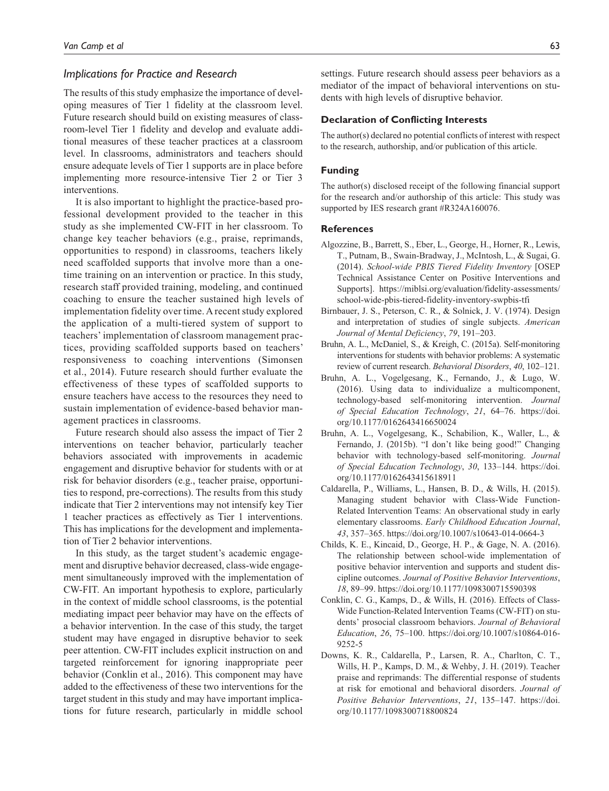### *Implications for Practice and Research*

The results of this study emphasize the importance of developing measures of Tier 1 fidelity at the classroom level. Future research should build on existing measures of classroom-level Tier 1 fidelity and develop and evaluate additional measures of these teacher practices at a classroom level. In classrooms, administrators and teachers should ensure adequate levels of Tier 1 supports are in place before implementing more resource-intensive Tier 2 or Tier 3 interventions.

It is also important to highlight the practice-based professional development provided to the teacher in this study as she implemented CW-FIT in her classroom. To change key teacher behaviors (e.g., praise, reprimands, opportunities to respond) in classrooms, teachers likely need scaffolded supports that involve more than a onetime training on an intervention or practice. In this study, research staff provided training, modeling, and continued coaching to ensure the teacher sustained high levels of implementation fidelity over time. A recent study explored the application of a multi-tiered system of support to teachers' implementation of classroom management practices, providing scaffolded supports based on teachers' responsiveness to coaching interventions (Simonsen et al., 2014). Future research should further evaluate the effectiveness of these types of scaffolded supports to ensure teachers have access to the resources they need to sustain implementation of evidence-based behavior management practices in classrooms.

Future research should also assess the impact of Tier 2 interventions on teacher behavior, particularly teacher behaviors associated with improvements in academic engagement and disruptive behavior for students with or at risk for behavior disorders (e.g., teacher praise, opportunities to respond, pre-corrections). The results from this study indicate that Tier 2 interventions may not intensify key Tier 1 teacher practices as effectively as Tier 1 interventions. This has implications for the development and implementation of Tier 2 behavior interventions.

In this study, as the target student's academic engagement and disruptive behavior decreased, class-wide engagement simultaneously improved with the implementation of CW-FIT. An important hypothesis to explore, particularly in the context of middle school classrooms, is the potential mediating impact peer behavior may have on the effects of a behavior intervention. In the case of this study, the target student may have engaged in disruptive behavior to seek peer attention. CW-FIT includes explicit instruction on and targeted reinforcement for ignoring inappropriate peer behavior (Conklin et al., 2016). This component may have added to the effectiveness of these two interventions for the target student in this study and may have important implications for future research, particularly in middle school settings. Future research should assess peer behaviors as a mediator of the impact of behavioral interventions on students with high levels of disruptive behavior.

#### **Declaration of Conflicting Interests**

The author(s) declared no potential conflicts of interest with respect to the research, authorship, and/or publication of this article.

#### **Funding**

The author(s) disclosed receipt of the following financial support for the research and/or authorship of this article: This study was supported by IES research grant #R324A160076.

#### **References**

- Algozzine, B., Barrett, S., Eber, L., George, H., Horner, R., Lewis, T., Putnam, B., Swain-Bradway, J., McIntosh, L., & Sugai, G. (2014). *School-wide PBIS Tiered Fidelity Inventory* [OSEP Technical Assistance Center on Positive Interventions and Supports]. [https://miblsi.org/evaluation/fidelity-assessments/](https://miblsi.org/evaluation/fidelity-assessments/school-wide-pbis-tiered-fidelity-inventory-swpbis-tfi) [school-wide-pbis-tiered-fidelity-inventory-swpbis-tfi](https://miblsi.org/evaluation/fidelity-assessments/school-wide-pbis-tiered-fidelity-inventory-swpbis-tfi)
- Birnbauer, J. S., Peterson, C. R., & Solnick, J. V. (1974). Design and interpretation of studies of single subjects. *American Journal of Mental Deficiency*, *79*, 191–203.
- Bruhn, A. L., McDaniel, S., & Kreigh, C. (2015a). Self-monitoring interventions for students with behavior problems: A systematic review of current research. *Behavioral Disorders*, *40*, 102–121.
- Bruhn, A. L., Vogelgesang, K., Fernando, J., & Lugo, W. (2016). Using data to individualize a multicomponent, technology-based self-monitoring intervention. *Journal of Special Education Technology*, *21*, 64–76. [https://doi.](https://doi.org/10.1177/0162643416650024) [org/10.1177/0162643416650024](https://doi.org/10.1177/0162643416650024)
- Bruhn, A. L., Vogelgesang, K., Schabilion, K., Waller, L., & Fernando, J. (2015b). "I don't like being good!" Changing behavior with technology-based self-monitoring. *Journal of Special Education Technology*, *30*, 133–144. [https://doi.](https://doi.org/10.1177/0162643415618911) [org/10.1177/0162643415618911](https://doi.org/10.1177/0162643415618911)
- Caldarella, P., Williams, L., Hansen, B. D., & Wills, H. (2015). Managing student behavior with Class-Wide Function-Related Intervention Teams: An observational study in early elementary classrooms. *Early Childhood Education Journal*, *43*, 357–365. <https://doi.org/10.1007/s10643-014-0664-3>
- Childs, K. E., Kincaid, D., George, H. P., & Gage, N. A. (2016). The relationship between school-wide implementation of positive behavior intervention and supports and student discipline outcomes. *Journal of Positive Behavior Interventions*, *18*, 89–99.<https://doi.org/10.1177/1098300715590398>
- Conklin, C. G., Kamps, D., & Wills, H. (2016). Effects of Class-Wide Function-Related Intervention Teams (CW-FIT) on students' prosocial classroom behaviors. *Journal of Behavioral Education*, *26*, 75–100. [https://doi.org/10.1007/s10864-016-](https://doi.org/10.1007/s10864-016-9252-5) [9252-5](https://doi.org/10.1007/s10864-016-9252-5)
- Downs, K. R., Caldarella, P., Larsen, R. A., Charlton, C. T., Wills, H. P., Kamps, D. M., & Wehby, J. H. (2019). Teacher praise and reprimands: The differential response of students at risk for emotional and behavioral disorders. *Journal of Positive Behavior Interventions*, *21*, 135–147. [https://doi.](https://doi.org/10.1177/1098300718800824) [org/10.1177/1098300718800824](https://doi.org/10.1177/1098300718800824)